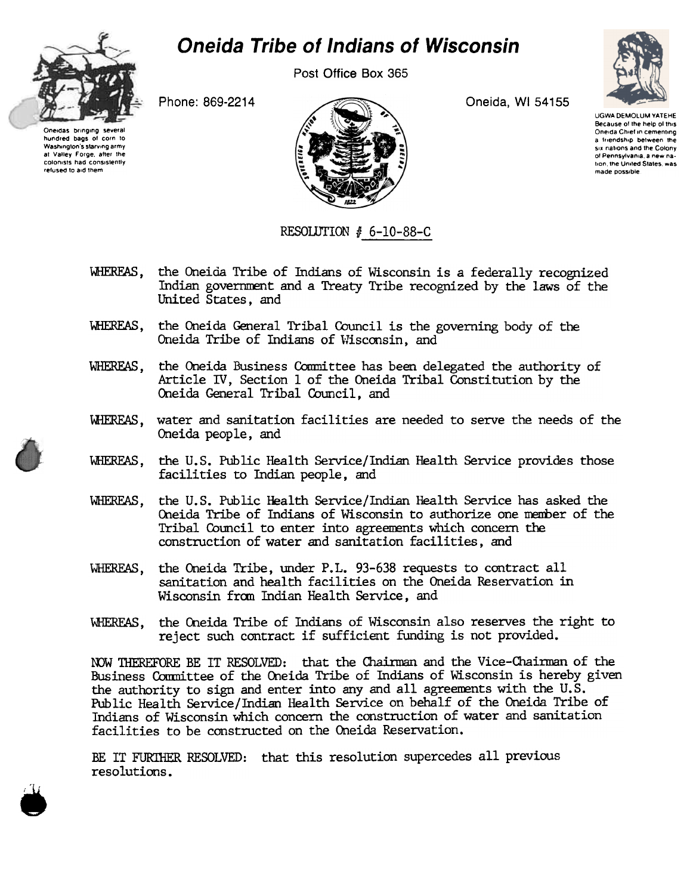

## **Oneida Tribe of Indians of Wisconsin**

Post Office Box 365



Oneidas bringing several hundred bags of corn to Washington's starving army at Valley Forge, after the colonists had consistently refused to aid them

Phone: 869-2214



Oneida, WI 54155

**LIGWA DEMOLUM VATERE** Because of the help of this Oneida Chief in cementing a friendship between the six nations and the Colony of Pennsylvania, a new nation, the United States, was made possible.

## RESOLUTION # 6-10-88-C

- WHEREAS, the Oneida Tribe of Indians of Wisconsin is a federally recognized Indian government and a Treaty Tribe recognized by the laws of the United States, and
- WHEREAS, the Oneida General Tribal Council is the governing body of the Oneida Tribe of Indians of Wisconsin, and
- WHEREAS, the Oneida Business Committee has been delegated the authority of Article IV, Section 1 of the Oneida Tribal Constitution by the Oneida General Tribal Council, and
- WHEREAS, water and sanitation facilities are needed to serve the needs of the Oneida people, and
- WHEREAS, the U.S. Public Health Service/Indian Health Service provides those facilities to Indian people, and
- WHEREAS. the U.S. Public Health Service/Indian Health Service has asked the Oneida Tribe of Indians of Wisconsin to authorize one member of the Tribal Council to enter into agreements which concern the construction of water and sanitation facilities, and
- the Oneida Tribe, under P.L. 93-638 requests to contract all WHEREAS, sanitation and health facilities on the Oneida Reservation in Wisconsin from Indian Health Service, and
- the Oneida Tribe of Indians of Wisconsin also reserves the right to WHEREAS. reject such contract if sufficient funding is not provided.

NOW THEREFORE BE IT RESOLVED: that the Chairman and the Vice-Chairman of the Business Committee of the Oneida Tribe of Indians of Wisconsin is hereby given the authority to sign and enter into any and all agreements with the U.S. Public Health Service/Indian Health Service on behalf of the Oneida Tribe of Indians of Wisconsin which concern the construction of water and sanitation facilities to be constructed on the Oneida Reservation.

BE IT FURTHER RESOLVED: that this resolution supercedes all previous resolutions.

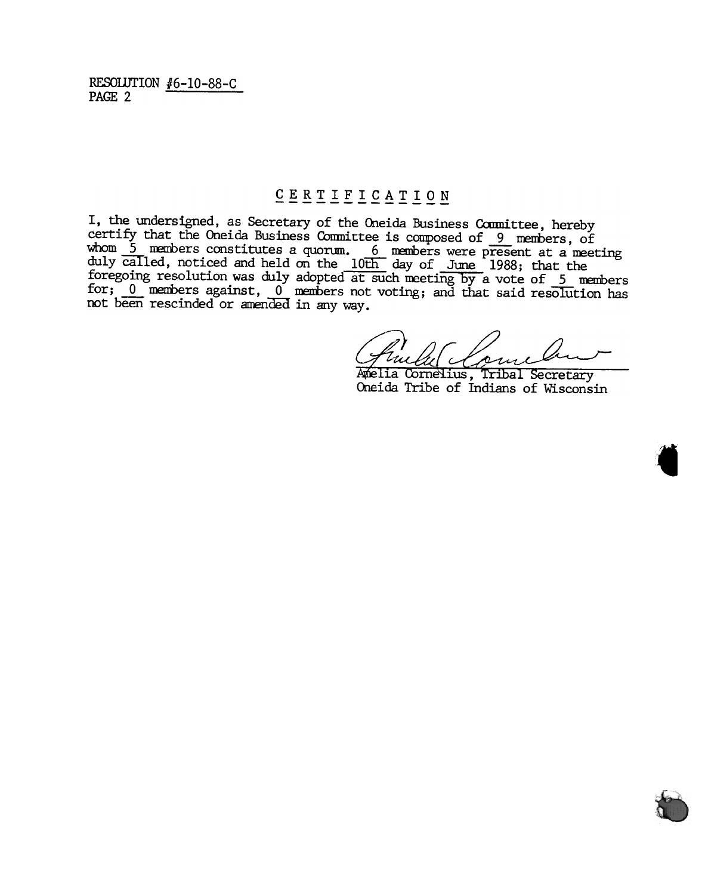RESOLUTION  $#6-10-88-C$ PAGE 2

## $\underline{C} \underline{E} \underline{R} \underline{T} \underline{T} \underline{F} \underline{T} \underline{C} \underline{A} \underline{T} \underline{T} \underline{O} \underline{N}$

I, the undersigned, as Secretary of the Oneida Business Committee, hereby certify that the Oneida Business Committee is composed of 9 members, of whom 5 members constitutes a quorum. 6 members were present at a meeting duly called, noticed and held on the 10th day of June 1988; that the foregoing resolution was duly adopted at such meeting by a vote of 5 members for;  $\underline{0}$  members against,  $\underline{0}$  members not voting; and that said resolution has not been rescinded or amended in any way.

'Uu

Amelia Cornelius, Tribal Secretary Oneida Tribe of Indians of Wisconsin